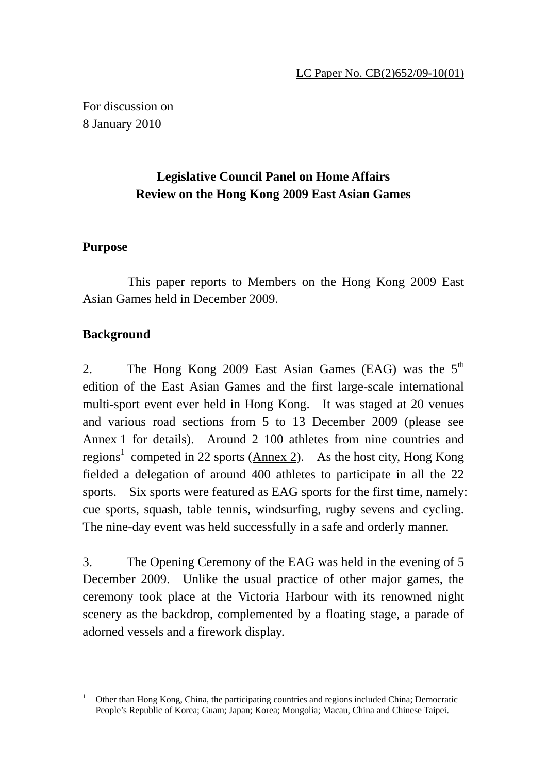For discussion on 8 January 2010

# **Legislative Council Panel on Home Affairs Review on the Hong Kong 2009 East Asian Games**

#### **Purpose**

 This paper reports to Members on the Hong Kong 2009 East Asian Games held in December 2009.

### **Background**

2. The Hong Kong 2009 East Asian Games (EAG) was the  $5<sup>th</sup>$ edition of the East Asian Games and the first large-scale international multi-sport event ever held in Hong Kong. It was staged at 20 venues and various road sections from 5 to 13 December 2009 (please see Annex 1 for details). Around 2 100 athletes from nine countries and regions<sup>1</sup> competed in 22 sports ( $\Delta$ nnex 2). As the host city, Hong Kong fielded a delegation of around 400 athletes to participate in all the 22 sports. Six sports were featured as EAG sports for the first time, namely: cue sports, squash, table tennis, windsurfing, rugby sevens and cycling. The nine-day event was held successfully in a safe and orderly manner.

3. The Opening Ceremony of the EAG was held in the evening of 5 December 2009. Unlike the usual practice of other major games, the ceremony took place at the Victoria Harbour with its renowned night scenery as the backdrop, complemented by a floating stage, a parade of adorned vessels and a firework display.

<sup>-</sup>1 Other than Hong Kong, China, the participating countries and regions included China; Democratic People's Republic of Korea; Guam; Japan; Korea; Mongolia; Macau, China and Chinese Taipei.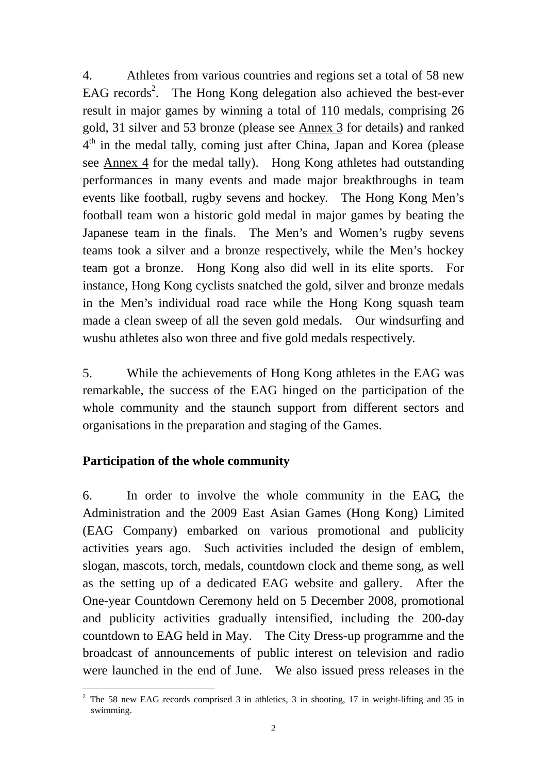4. Athletes from various countries and regions set a total of 58 new EAG records<sup>2</sup>. The Hong Kong delegation also achieved the best-ever result in major games by winning a total of 110 medals, comprising 26 gold, 31 silver and 53 bronze (please see Annex 3 for details) and ranked 4<sup>th</sup> in the medal tally, coming just after China, Japan and Korea (please see Annex 4 for the medal tally). Hong Kong athletes had outstanding performances in many events and made major breakthroughs in team events like football, rugby sevens and hockey. The Hong Kong Men's football team won a historic gold medal in major games by beating the Japanese team in the finals. The Men's and Women's rugby sevens teams took a silver and a bronze respectively, while the Men's hockey team got a bronze. Hong Kong also did well in its elite sports. For instance, Hong Kong cyclists snatched the gold, silver and bronze medals in the Men's individual road race while the Hong Kong squash team made a clean sweep of all the seven gold medals. Our windsurfing and wushu athletes also won three and five gold medals respectively.

5. While the achievements of Hong Kong athletes in the EAG was remarkable, the success of the EAG hinged on the participation of the whole community and the staunch support from different sectors and organisations in the preparation and staging of the Games.

#### **Participation of the whole community**

-

6. In order to involve the whole community in the EAG, the Administration and the 2009 East Asian Games (Hong Kong) Limited (EAG Company) embarked on various promotional and publicity activities years ago. Such activities included the design of emblem, slogan, mascots, torch, medals, countdown clock and theme song, as well as the setting up of a dedicated EAG website and gallery. After the One-year Countdown Ceremony held on 5 December 2008, promotional and publicity activities gradually intensified, including the 200-day countdown to EAG held in May. The City Dress-up programme and the broadcast of announcements of public interest on television and radio were launched in the end of June. We also issued press releases in the

<sup>&</sup>lt;sup>2</sup> The 58 new EAG records comprised 3 in athletics, 3 in shooting, 17 in weight-lifting and 35 in swimming.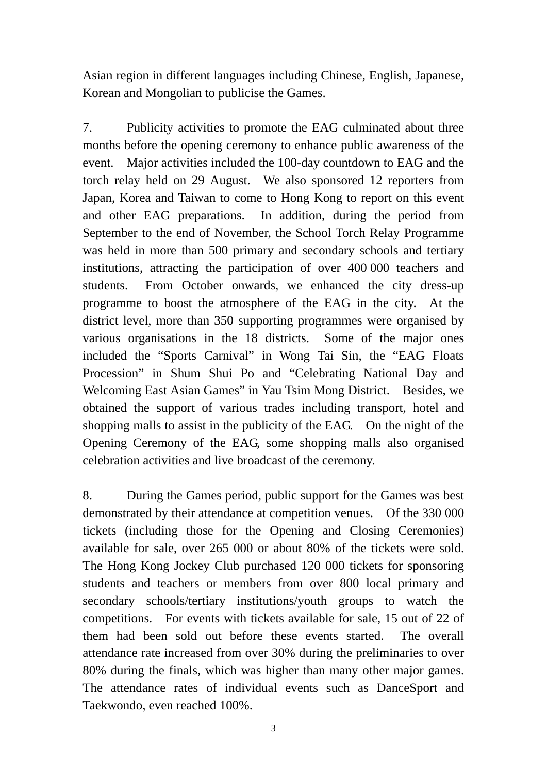Asian region in different languages including Chinese, English, Japanese, Korean and Mongolian to publicise the Games.

7. Publicity activities to promote the EAG culminated about three months before the opening ceremony to enhance public awareness of the event. Major activities included the 100-day countdown to EAG and the torch relay held on 29 August. We also sponsored 12 reporters from Japan, Korea and Taiwan to come to Hong Kong to report on this event and other EAG preparations. In addition, during the period from September to the end of November, the School Torch Relay Programme was held in more than 500 primary and secondary schools and tertiary institutions, attracting the participation of over 400 000 teachers and students. From October onwards, we enhanced the city dress-up programme to boost the atmosphere of the EAG in the city. At the district level, more than 350 supporting programmes were organised by various organisations in the 18 districts. Some of the major ones included the "Sports Carnival" in Wong Tai Sin, the "EAG Floats Procession" in Shum Shui Po and "Celebrating National Day and Welcoming East Asian Games" in Yau Tsim Mong District. Besides, we obtained the support of various trades including transport, hotel and shopping malls to assist in the publicity of the EAG. On the night of the Opening Ceremony of the EAG, some shopping malls also organised celebration activities and live broadcast of the ceremony.

8. During the Games period, public support for the Games was best demonstrated by their attendance at competition venues. Of the 330 000 tickets (including those for the Opening and Closing Ceremonies) available for sale, over 265 000 or about 80% of the tickets were sold. The Hong Kong Jockey Club purchased 120 000 tickets for sponsoring students and teachers or members from over 800 local primary and secondary schools/tertiary institutions/youth groups to watch the competitions. For events with tickets available for sale, 15 out of 22 of them had been sold out before these events started. The overall attendance rate increased from over 30% during the preliminaries to over 80% during the finals, which was higher than many other major games. The attendance rates of individual events such as DanceSport and Taekwondo, even reached 100%.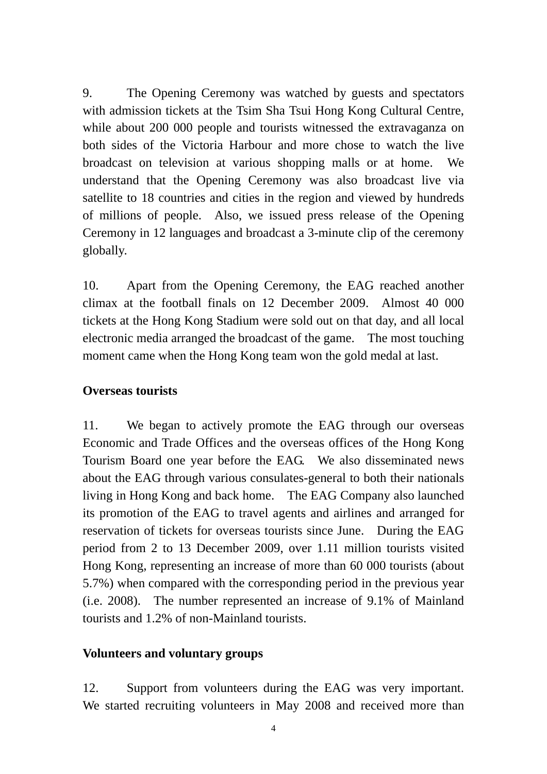9. The Opening Ceremony was watched by guests and spectators with admission tickets at the Tsim Sha Tsui Hong Kong Cultural Centre, while about 200 000 people and tourists witnessed the extravaganza on both sides of the Victoria Harbour and more chose to watch the live broadcast on television at various shopping malls or at home. We understand that the Opening Ceremony was also broadcast live via satellite to 18 countries and cities in the region and viewed by hundreds of millions of people. Also, we issued press release of the Opening Ceremony in 12 languages and broadcast a 3-minute clip of the ceremony globally.

10. Apart from the Opening Ceremony, the EAG reached another climax at the football finals on 12 December 2009. Almost 40 000 tickets at the Hong Kong Stadium were sold out on that day, and all local electronic media arranged the broadcast of the game. The most touching moment came when the Hong Kong team won the gold medal at last.

#### **Overseas tourists**

11. We began to actively promote the EAG through our overseas Economic and Trade Offices and the overseas offices of the Hong Kong Tourism Board one year before the EAG. We also disseminated news about the EAG through various consulates-general to both their nationals living in Hong Kong and back home. The EAG Company also launched its promotion of the EAG to travel agents and airlines and arranged for reservation of tickets for overseas tourists since June. During the EAG period from 2 to 13 December 2009, over 1.11 million tourists visited Hong Kong, representing an increase of more than 60 000 tourists (about 5.7%) when compared with the corresponding period in the previous year (i.e. 2008). The number represented an increase of 9.1% of Mainland tourists and 1.2% of non-Mainland tourists.

#### **Volunteers and voluntary groups**

12. Support from volunteers during the EAG was very important. We started recruiting volunteers in May 2008 and received more than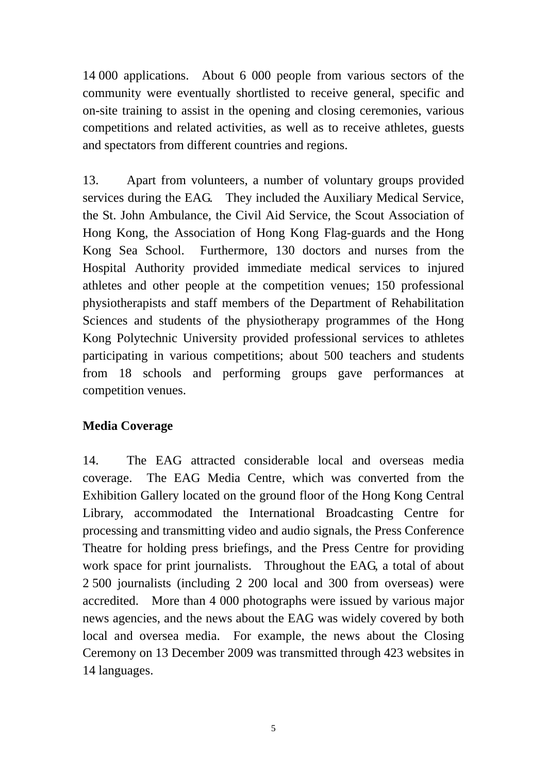14 000 applications. About 6 000 people from various sectors of the community were eventually shortlisted to receive general, specific and on-site training to assist in the opening and closing ceremonies, various competitions and related activities, as well as to receive athletes, guests and spectators from different countries and regions.

13. Apart from volunteers, a number of voluntary groups provided services during the EAG. They included the Auxiliary Medical Service, the St. John Ambulance, the Civil Aid Service, the Scout Association of Hong Kong, the Association of Hong Kong Flag-guards and the Hong Kong Sea School. Furthermore, 130 doctors and nurses from the Hospital Authority provided immediate medical services to injured athletes and other people at the competition venues; 150 professional physiotherapists and staff members of the Department of Rehabilitation Sciences and students of the physiotherapy programmes of the Hong Kong Polytechnic University provided professional services to athletes participating in various competitions; about 500 teachers and students from 18 schools and performing groups gave performances at competition venues.

#### **Media Coverage**

14. The EAG attracted considerable local and overseas media coverage. The EAG Media Centre, which was converted from the Exhibition Gallery located on the ground floor of the Hong Kong Central Library, accommodated the International Broadcasting Centre for processing and transmitting video and audio signals, the Press Conference Theatre for holding press briefings, and the Press Centre for providing work space for print journalists. Throughout the EAG, a total of about 2 500 journalists (including 2 200 local and 300 from overseas) were accredited. More than 4 000 photographs were issued by various major news agencies, and the news about the EAG was widely covered by both local and oversea media. For example, the news about the Closing Ceremony on 13 December 2009 was transmitted through 423 websites in 14 languages.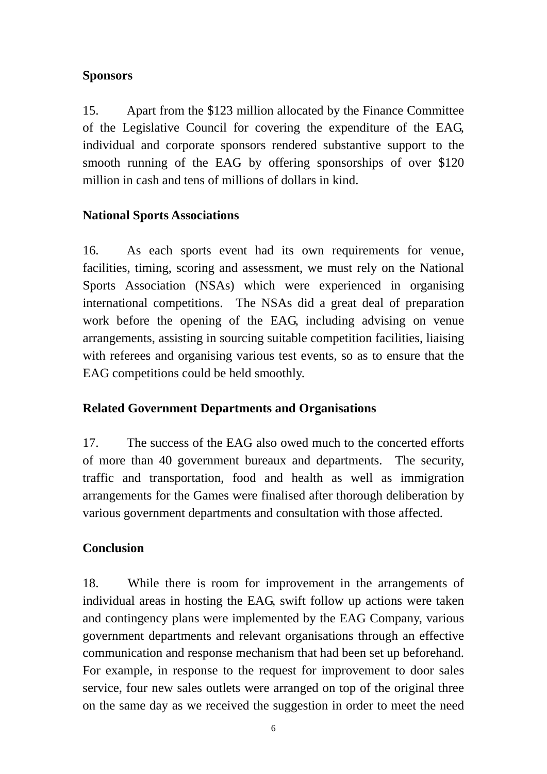#### **Sponsors**

15. Apart from the \$123 million allocated by the Finance Committee of the Legislative Council for covering the expenditure of the EAG, individual and corporate sponsors rendered substantive support to the smooth running of the EAG by offering sponsorships of over \$120 million in cash and tens of millions of dollars in kind.

#### **National Sports Associations**

16. As each sports event had its own requirements for venue, facilities, timing, scoring and assessment, we must rely on the National Sports Association (NSAs) which were experienced in organising international competitions. The NSAs did a great deal of preparation work before the opening of the EAG, including advising on venue arrangements, assisting in sourcing suitable competition facilities, liaising with referees and organising various test events, so as to ensure that the EAG competitions could be held smoothly.

#### **Related Government Departments and Organisations**

17. The success of the EAG also owed much to the concerted efforts of more than 40 government bureaux and departments. The security, traffic and transportation, food and health as well as immigration arrangements for the Games were finalised after thorough deliberation by various government departments and consultation with those affected.

## **Conclusion**

18. While there is room for improvement in the arrangements of individual areas in hosting the EAG, swift follow up actions were taken and contingency plans were implemented by the EAG Company, various government departments and relevant organisations through an effective communication and response mechanism that had been set up beforehand. For example, in response to the request for improvement to door sales service, four new sales outlets were arranged on top of the original three on the same day as we received the suggestion in order to meet the need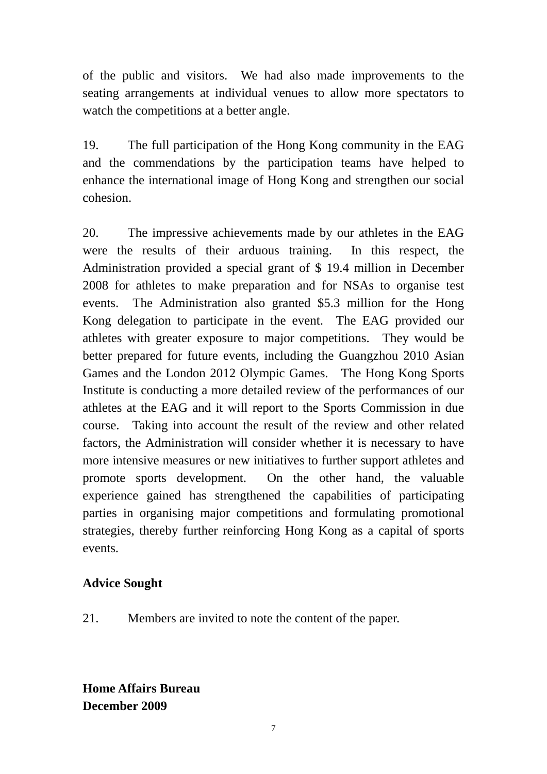of the public and visitors. We had also made improvements to the seating arrangements at individual venues to allow more spectators to watch the competitions at a better angle.

19. The full participation of the Hong Kong community in the EAG and the commendations by the participation teams have helped to enhance the international image of Hong Kong and strengthen our social cohesion.

20. The impressive achievements made by our athletes in the EAG were the results of their arduous training. In this respect, the Administration provided a special grant of \$ 19.4 million in December 2008 for athletes to make preparation and for NSAs to organise test events. The Administration also granted \$5.3 million for the Hong Kong delegation to participate in the event. The EAG provided our athletes with greater exposure to major competitions. They would be better prepared for future events, including the Guangzhou 2010 Asian Games and the London 2012 Olympic Games. The Hong Kong Sports Institute is conducting a more detailed review of the performances of our athletes at the EAG and it will report to the Sports Commission in due course. Taking into account the result of the review and other related factors, the Administration will consider whether it is necessary to have more intensive measures or new initiatives to further support athletes and promote sports development. On the other hand, the valuable experience gained has strengthened the capabilities of participating parties in organising major competitions and formulating promotional strategies, thereby further reinforcing Hong Kong as a capital of sports events.

#### **Advice Sought**

21. Members are invited to note the content of the paper.

**Home Affairs Bureau December 2009**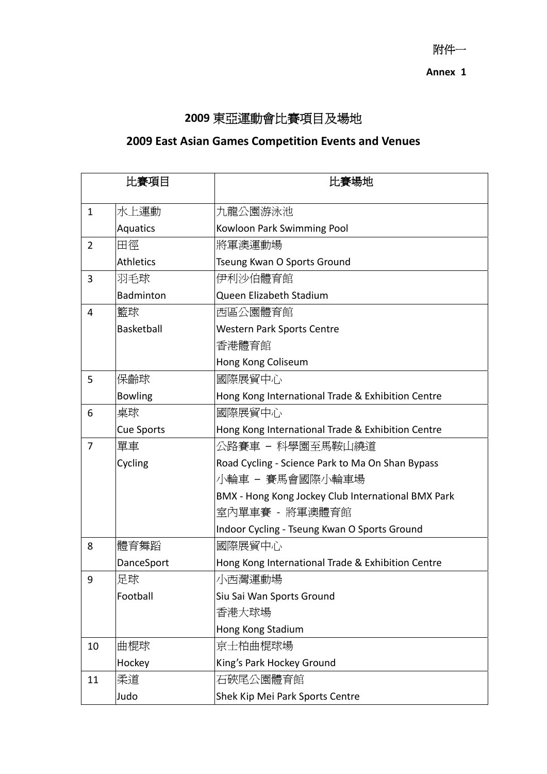附件一 **Annex 1** 

# **2009** 東亞運動會比賽項目及場地

# **2009 East Asian Games Competition Events and Venues**

| 比賽項目           |                   | 比賽場地                                               |  |  |
|----------------|-------------------|----------------------------------------------------|--|--|
| $\mathbf{1}$   | 水上運動              | 九龍公園游泳池                                            |  |  |
|                | Aquatics          | Kowloon Park Swimming Pool                         |  |  |
| $\overline{2}$ | 田徑                | 將軍澳運動場                                             |  |  |
|                | <b>Athletics</b>  | Tseung Kwan O Sports Ground                        |  |  |
| 3              | 羽毛球               | 伊利沙伯體育館                                            |  |  |
|                | Badminton         | Queen Elizabeth Stadium                            |  |  |
| 4              | 「籃球               | 西區公園體育館                                            |  |  |
|                | Basketball        | <b>Western Park Sports Centre</b>                  |  |  |
|                |                   | 香港體育館                                              |  |  |
|                |                   | Hong Kong Coliseum                                 |  |  |
| 5              | 保齡球               | 國際展貿中心                                             |  |  |
|                | <b>Bowling</b>    | Hong Kong International Trade & Exhibition Centre  |  |  |
| 6              | 桌球                | 國際展貿中心                                             |  |  |
|                | <b>Cue Sports</b> | Hong Kong International Trade & Exhibition Centre  |  |  |
| $\overline{7}$ | 單車                | 公路賽車 – 科學園至馬鞍山繞道                                   |  |  |
|                | Cycling           | Road Cycling - Science Park to Ma On Shan Bypass   |  |  |
|                |                   | 小輪車 - 賽馬會國際小輪車場                                    |  |  |
|                |                   | BMX - Hong Kong Jockey Club International BMX Park |  |  |
|                |                   | 室內單車賽 - 將軍澳體育館                                     |  |  |
|                |                   | Indoor Cycling - Tseung Kwan O Sports Ground       |  |  |
| 8              | 體育舞蹈              | 國際展貿中心                                             |  |  |
|                | DanceSport        | Hong Kong International Trade & Exhibition Centre  |  |  |
| 9              | 足球                | 小西灣運動場                                             |  |  |
|                | Football          | Siu Sai Wan Sports Ground                          |  |  |
|                |                   | 香港大球場                                              |  |  |
|                |                   | Hong Kong Stadium                                  |  |  |
| 10             | 曲棍球               | 京士柏曲棍球場                                            |  |  |
|                | Hockey            | King's Park Hockey Ground                          |  |  |
| 11             | 柔道                | 石硤尾公園體育館                                           |  |  |
|                | Judo              | Shek Kip Mei Park Sports Centre                    |  |  |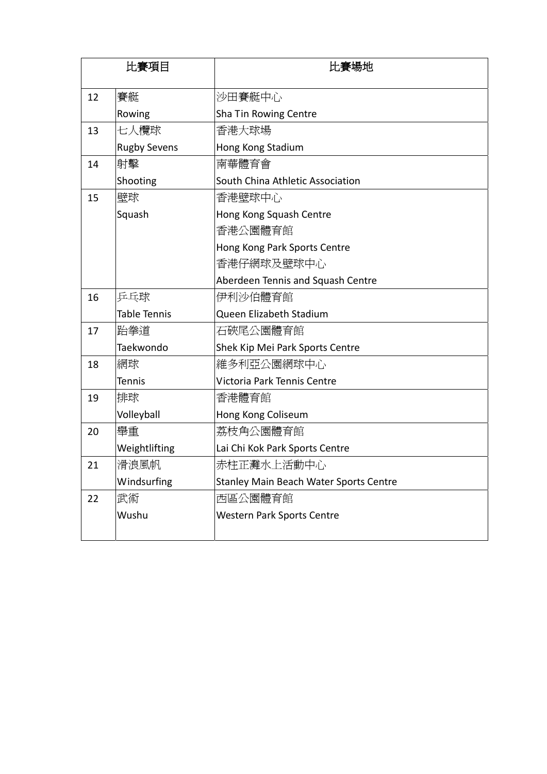| 比賽項目 |                     | 比賽場地                                   |  |  |
|------|---------------------|----------------------------------------|--|--|
| 12   | 賽艇                  | 沙田賽艇中心                                 |  |  |
|      | Rowing              | Sha Tin Rowing Centre                  |  |  |
| 13   | 七人欖球                | 香港大球場                                  |  |  |
|      | <b>Rugby Sevens</b> | Hong Kong Stadium                      |  |  |
| 14   | 射擊                  | 南華體育會                                  |  |  |
|      | Shooting            | South China Athletic Association       |  |  |
| 15   | 壁球                  | 香港壁球中心                                 |  |  |
|      | Squash              | Hong Kong Squash Centre                |  |  |
|      |                     | 香港公園體育館                                |  |  |
|      |                     | Hong Kong Park Sports Centre           |  |  |
|      |                     | 香港仔網球及壁球中心                             |  |  |
|      |                     | Aberdeen Tennis and Squash Centre      |  |  |
| 16   | 乒乓球                 | 伊利沙伯體育館                                |  |  |
|      | Table Tennis        | Queen Elizabeth Stadium                |  |  |
| 17   | 跆拳道                 | 石硤尾公園體育館                               |  |  |
|      | Taekwondo           | Shek Kip Mei Park Sports Centre        |  |  |
| 18   | 網球                  | 維多利亞公園網球中心                             |  |  |
|      | <b>Tennis</b>       | Victoria Park Tennis Centre            |  |  |
| 19   | 排球                  | 香港體育館                                  |  |  |
|      | Volleyball          | Hong Kong Coliseum                     |  |  |
| 20   | 舉重                  | 荔枝角公園體育館                               |  |  |
|      | Weightlifting       | Lai Chi Kok Park Sports Centre         |  |  |
| 21   | 滑浪風帆                | 赤柱正灘水上活動中心                             |  |  |
|      | Windsurfing         | Stanley Main Beach Water Sports Centre |  |  |
| 22   | 武術                  | 西區公園體育館                                |  |  |
|      | Wushu               | <b>Western Park Sports Centre</b>      |  |  |
|      |                     |                                        |  |  |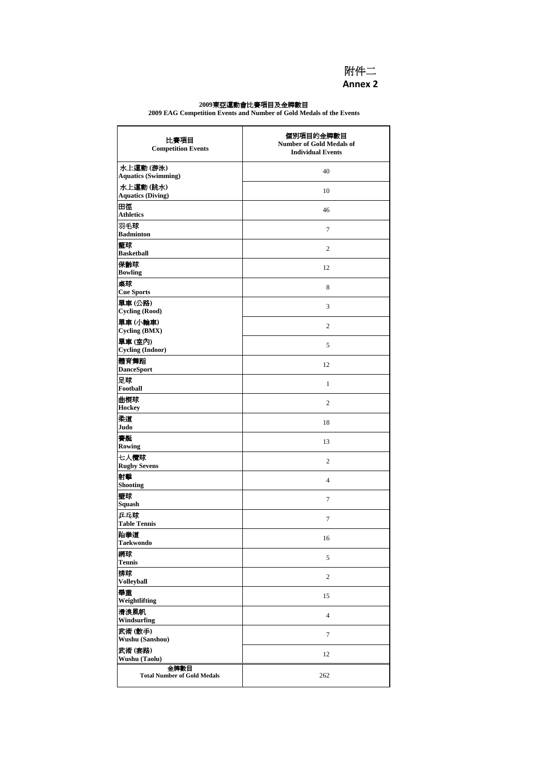

#### **2009**東亞運動會比賽項目及金牌數目

**2009 EAG Competition Events and Number of Gold Medals of the Events**

| 比賽項目<br><b>Competition Events</b>          | 個別項目的金牌數目<br><b>Number of Gold Medals of</b><br><b>Individual Events</b> |  |
|--------------------------------------------|--------------------------------------------------------------------------|--|
| 水上運動(游泳)<br><b>Aquatics (Swimming)</b>     | 40                                                                       |  |
| 水上運動(跳水)<br><b>Aquatics (Diving)</b>       | 10                                                                       |  |
| 田徑<br><b>Athletics</b>                     | 46                                                                       |  |
| 羽毛球<br><b>Badminton</b>                    | 7                                                                        |  |
| 籃球<br><b>Basketball</b>                    | $\overline{2}$                                                           |  |
| 保齡球<br><b>Bowling</b>                      | 12                                                                       |  |
| 桌球<br><b>Cue Sports</b>                    | 8                                                                        |  |
| 單車(公路)<br><b>Cycling (Rood)</b>            | 3                                                                        |  |
| 單車(小輪車)<br>Cycling (BMX)                   | $\overline{2}$                                                           |  |
| 單車(室內)<br><b>Cycling (Indoor)</b>          | 5                                                                        |  |
| 體育舞蹈<br><b>DanceSport</b>                  | 12                                                                       |  |
| 足球<br>Football                             | $\mathbf{1}$                                                             |  |
| 曲棍球<br><b>Hockey</b>                       | $\overline{c}$                                                           |  |
| 柔道<br>Judo                                 | 18                                                                       |  |
| 賽艇<br>Rowing                               | 13                                                                       |  |
| 七人欖球<br><b>Rugby Sevens</b>                | $\overline{2}$                                                           |  |
| 射擊<br><b>Shooting</b>                      | 4                                                                        |  |
| 壁球<br>Squash                               | 7                                                                        |  |
| 乒乓球<br><b>Table Tennis</b>                 | 7                                                                        |  |
| 跆拳道<br><b>Taekwondo</b>                    | 16                                                                       |  |
| 網球<br><b>Tennis</b>                        | 5                                                                        |  |
| 排球<br><b>Volleyball</b>                    | $\overline{2}$                                                           |  |
| 舉重<br>Weightlifting                        | 15                                                                       |  |
| 滑浪風帆<br>Windsurfing                        | $\overline{4}$                                                           |  |
| 武術(散手)<br>Wushu (Sanshou)                  | 7                                                                        |  |
| 武術(套路)<br><b>Wushu (Taolu)</b>             | 12                                                                       |  |
| 金牌數目<br><b>Total Number of Gold Medals</b> | 262                                                                      |  |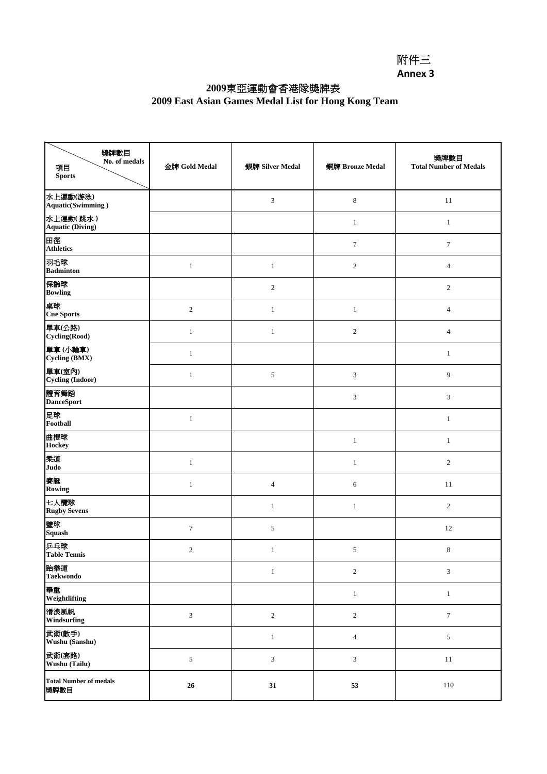#### **2009**東亞運動會香港隊獎牌表

#### **2009 East Asian Games Medal List for Hong Kong Team**

| 獎牌數目<br>No. of medals<br>項目<br><b>Sports</b> | 金牌 Gold Medal    | 銀牌 Silver Medal | 銅牌 Bronze Medal             | 獎牌數目<br><b>Total Number of Medals</b> |
|----------------------------------------------|------------------|-----------------|-----------------------------|---------------------------------------|
| 水上運動(游泳)<br><b>Aquatic(Swimming)</b>         |                  | $\mathfrak{Z}$  | $\,$ 8 $\,$                 | 11                                    |
| 水上運動(跳水)<br><b>Aquatic (Diving)</b>          |                  |                 | $1\,$                       | $\mathbf{1}$                          |
| 田徑<br><b>Athletics</b>                       |                  |                 | $\tau$                      | $\overline{7}$                        |
| 羽毛球<br><b>Badminton</b>                      | $\,1$            | $\mathbf{1}$    | $\sqrt{2}$                  | $\overline{4}$                        |
| 保齡球<br><b>Bowling</b>                        |                  | $\overline{2}$  |                             | $\sqrt{2}$                            |
| 桌球<br><b>Cue Sports</b>                      | $\sqrt{2}$       | $\mathbf{1}$    | $\mathbf{1}$                | $\overline{4}$                        |
| 單車(公路)<br>Cycling(Rood)                      | $\mathbf{1}$     | $\mathbf{1}$    | $\sqrt{2}$                  | $\overline{4}$                        |
| 單車(小輪車)<br>Cycling (BMX)                     | $\mathbf{1}$     |                 |                             | $\mathbf{1}$                          |
| 單車(室內)<br><b>Cycling (Indoor)</b>            | $\mathbf{1}$     | 5               | 3                           | 9                                     |
| 體育舞蹈<br><b>DanceSport</b>                    |                  |                 | 3                           | 3                                     |
| 足球<br>Football                               | $\mathbf{1}$     |                 |                             | $\mathbf{1}$                          |
| 曲棍球<br><b>Hockey</b>                         |                  |                 | $\mathbf{1}$                | $\mathbf{1}$                          |
| 柔道<br>Judo                                   | $\mathbf{1}$     |                 | $\mathbf{1}$                | $\overline{2}$                        |
| 賽艇<br>Rowing                                 | $\mathbf{1}$     | $\overline{4}$  | 6                           | 11                                    |
| 七人欖球<br><b>Rugby Sevens</b>                  |                  | $\mathbf{1}$    | $\mathbf{1}$                | $\sqrt{2}$                            |
| 壁球<br><b>Squash</b>                          | $\boldsymbol{7}$ | $\sqrt{5}$      |                             | 12                                    |
| 乒乓球<br><b>Table Tennis</b>                   | $\overline{c}$   | $\mathbf{1}$    | 5                           | $\,8\,$                               |
| 跆拳道<br><b>Taekwondo</b>                      |                  | $\mathbf{1}$    | $\sqrt{2}$                  | $\ensuremath{\mathfrak{Z}}$           |
| 舉重<br>Weightlifting                          |                  |                 | $\mathbf{1}$                | $\mathbf{1}$                          |
| 滑浪風帆<br>Windsurfing                          | 3                | $\overline{c}$  | $\sqrt{2}$                  | $\boldsymbol{7}$                      |
| 武術(散手)<br>Wushu (Sanshu)                     |                  | $\mathbf{1}$    | $\overline{4}$              | $\sqrt{5}$                            |
| 武術(套路)<br>Wushu (Tailu)                      | $\sqrt{5}$       | $\sqrt{3}$      | $\ensuremath{\mathfrak{Z}}$ | 11                                    |
| <b>Total Number of medals</b><br>獎牌數目        | ${\bf 26}$       | 31              | 53                          | 110                                   |